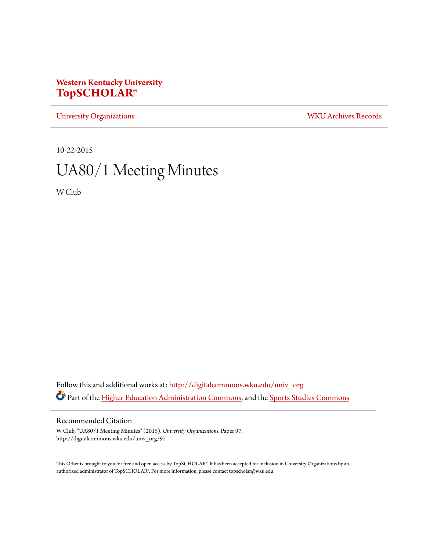## **Western Kentucky University [TopSCHOLAR®](http://digitalcommons.wku.edu?utm_source=digitalcommons.wku.edu%2Funiv_org%2F97&utm_medium=PDF&utm_campaign=PDFCoverPages)**

[University Organizations](http://digitalcommons.wku.edu/univ_org?utm_source=digitalcommons.wku.edu%2Funiv_org%2F97&utm_medium=PDF&utm_campaign=PDFCoverPages) [WKU Archives Records](http://digitalcommons.wku.edu/dlsc_ua_records?utm_source=digitalcommons.wku.edu%2Funiv_org%2F97&utm_medium=PDF&utm_campaign=PDFCoverPages)

10-22-2015

# UA80/1 Meeting Minutes

W Club

Follow this and additional works at: [http://digitalcommons.wku.edu/univ\\_org](http://digitalcommons.wku.edu/univ_org?utm_source=digitalcommons.wku.edu%2Funiv_org%2F97&utm_medium=PDF&utm_campaign=PDFCoverPages) Part of the [Higher Education Administration Commons](http://network.bepress.com/hgg/discipline/791?utm_source=digitalcommons.wku.edu%2Funiv_org%2F97&utm_medium=PDF&utm_campaign=PDFCoverPages), and the [Sports Studies Commons](http://network.bepress.com/hgg/discipline/1198?utm_source=digitalcommons.wku.edu%2Funiv_org%2F97&utm_medium=PDF&utm_campaign=PDFCoverPages)

#### Recommended Citation

W Club, "UA80/1 Meeting Minutes" (2015). *University Organizations.* Paper 97. http://digitalcommons.wku.edu/univ\_org/97

This Other is brought to you for free and open access by TopSCHOLAR®. It has been accepted for inclusion in University Organizations by an authorized administrator of TopSCHOLAR®. For more information, please contact topscholar@wku.edu.